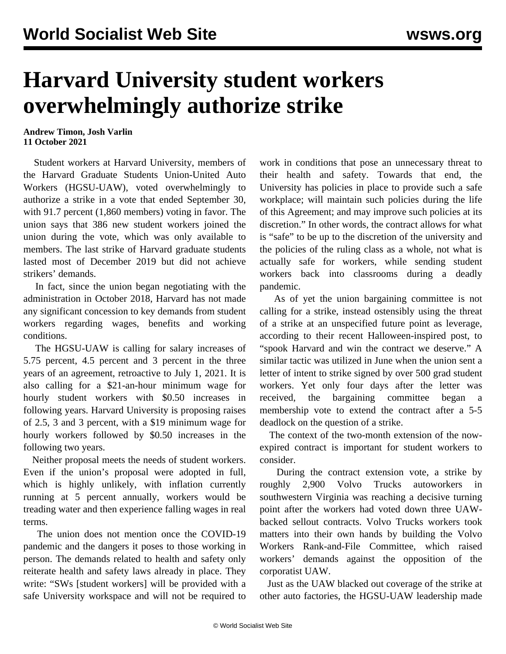## **Harvard University student workers overwhelmingly authorize strike**

## **Andrew Timon, Josh Varlin 11 October 2021**

 Student workers at Harvard University, members of the Harvard Graduate Students Union-United Auto Workers (HGSU-UAW), voted overwhelmingly to authorize a strike in a vote that ended September 30, with 91.7 percent (1,860 members) voting in favor. The union says that 386 new student workers joined the union during the vote, which was only available to members. The last strike of Harvard graduate students lasted most of December 2019 but did not achieve strikers' demands.

 In fact, since the union began negotiating with the administration in October 2018, Harvard has not made any significant concession to key demands from student workers regarding wages, benefits and working conditions.

 The HGSU-UAW is calling for salary increases of 5.75 percent, 4.5 percent and 3 percent in the three years of an agreement, retroactive to July 1, 2021. It is also calling for a \$21-an-hour minimum wage for hourly student workers with \$0.50 increases in following years. Harvard University is proposing raises of 2.5, 3 and 3 percent, with a \$19 minimum wage for hourly workers followed by \$0.50 increases in the following two years.

 Neither proposal meets the needs of student workers. Even if the union's proposal were adopted in full, which is highly unlikely, with inflation currently running at 5 percent annually, workers would be treading water and then experience falling wages in real terms.

 The union does not mention once the COVID-19 pandemic and the dangers it poses to those working in person. The demands related to health and safety only reiterate health and safety laws already in place. They write: "SWs [student workers] will be provided with a safe University workspace and will not be required to work in conditions that pose an unnecessary threat to their health and safety. Towards that end, the University has policies in place to provide such a safe workplace; will maintain such policies during the life of this Agreement; and may improve such policies at its discretion." In other words, the contract allows for what is "safe" to be up to the discretion of the university and the policies of the ruling class as a whole, not what is actually safe for workers, while sending student workers back into classrooms during a deadly pandemic.

 As of yet the union bargaining committee is not calling for a strike, instead ostensibly using the threat of a strike at an unspecified future point as leverage, according to their recent Halloween-inspired post, to "spook Harvard and win the contract we deserve." A similar tactic was utilized in June when the union sent a letter of intent to strike signed by over 500 grad student workers. Yet only four days after the letter was received, the bargaining committee began a membership vote to extend the contract after a 5-5 deadlock on the question of a strike.

 The context of the two-month extension of the nowexpired contract is important for student workers to consider.

 During the contract extension vote, a strike by roughly 2,900 Volvo Trucks autoworkers in southwestern Virginia was reaching a decisive turning point after the workers had voted down three UAWbacked sellout contracts. Volvo Trucks workers took matters into their own hands by building the Volvo Workers Rank-and-File Committee, which raised workers' demands against the opposition of the corporatist UAW.

 Just as the UAW blacked out coverage of the strike at other auto factories, the HGSU-UAW leadership made